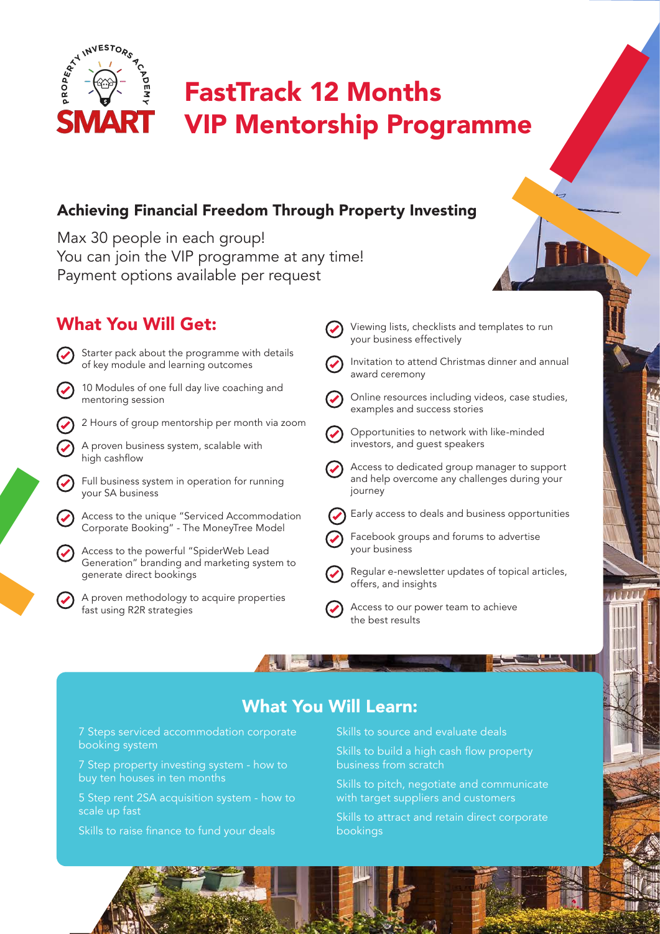

# FastTrack 12 Months VIP Mentorship Programme

### Achieving Financial Freedom Through Property Investing

Max 30 people in each group! You can join the VIP programme at any time! Payment options available per request

## What You Will Get:



## Invitation to attend Christmas dinner and annual

Viewing lists, checklists and templates to run

- Online resources including videos, case studies, examples and success stories
- Opportunities to network with like-minded investors, and guest speakers
- Access to dedicated group manager to support and help overcome any challenges during your
- Early access to deals and business opportunities
	- Facebook groups and forums to advertise
- Regular e-newsletter updates of topical articles, offers, and insights
- Access to our power team to achieve the best results

## What You Will Learn:

7 Steps serviced accommodation corporate booking system

7 Step property investing system - how to buy ten houses in ten months

5 Step rent 2SA acquisition system - how to scale up fast

Skills to raise finance to fund your deals

Skills to source and evaluate deals

Skills to build a high cash flow property business from scratch

Skills to pitch, negotiate and communicate with target suppliers and customers

Skills to attract and retain direct corporate bookings